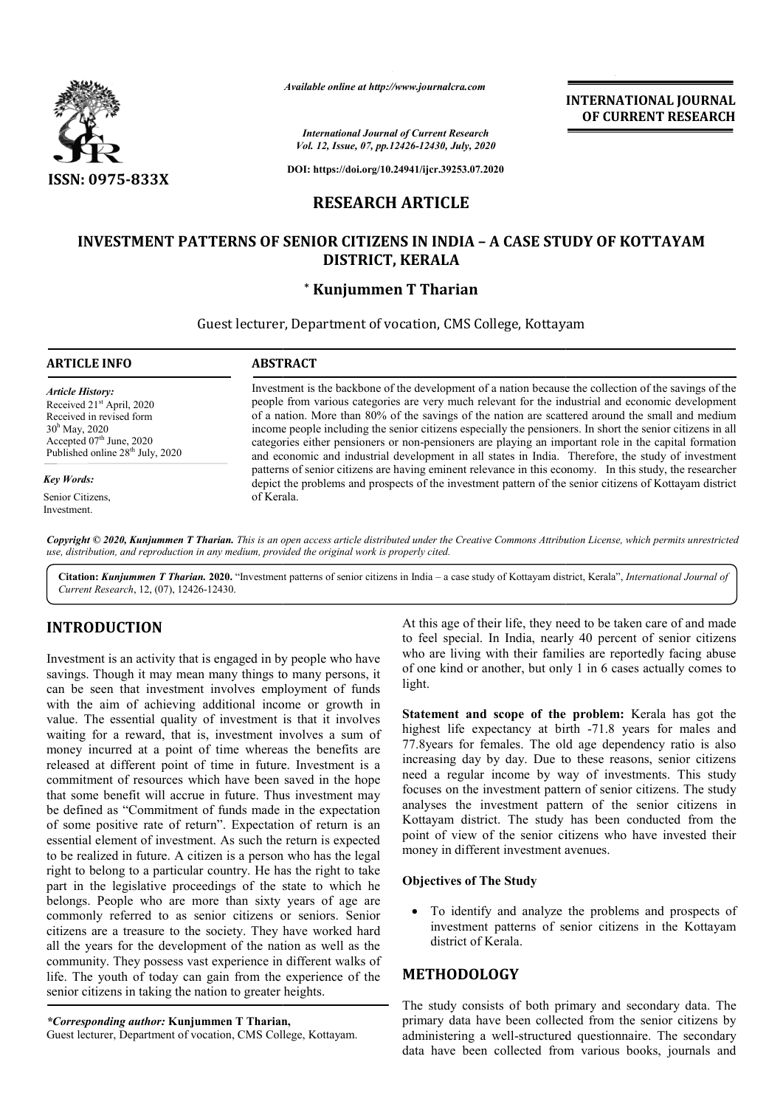

*Available online at http://www.journalcra.com*

# **RESEARCH ARTICLE**

# **INVESTMENT PATTERNS OF SENIOR CITIZENS IN INDIA - A CASE STUDY OF KOTTAYAM DISTRICT, KERALA**

## **\* Kunjummen T Tharian**

|                                                                                                                                                                                                                                                                                                                                                                                                                                                                                                                                                                                                                                                                                                                                                                                                    |                         | <b>INTERNATIONAL JOURNAL</b><br>OF CURRENT RESEARCH                                                                                                                                                                                                                                                                                                                                                                                                                                                                                                                                                                                                                                                                                                                                                                                                                 |
|----------------------------------------------------------------------------------------------------------------------------------------------------------------------------------------------------------------------------------------------------------------------------------------------------------------------------------------------------------------------------------------------------------------------------------------------------------------------------------------------------------------------------------------------------------------------------------------------------------------------------------------------------------------------------------------------------------------------------------------------------------------------------------------------------|-------------------------|---------------------------------------------------------------------------------------------------------------------------------------------------------------------------------------------------------------------------------------------------------------------------------------------------------------------------------------------------------------------------------------------------------------------------------------------------------------------------------------------------------------------------------------------------------------------------------------------------------------------------------------------------------------------------------------------------------------------------------------------------------------------------------------------------------------------------------------------------------------------|
|                                                                                                                                                                                                                                                                                                                                                                                                                                                                                                                                                                                                                                                                                                                                                                                                    |                         | <b>International Journal of Current Research</b><br>Vol. 12, Issue, 07, pp.12426-12430, July, 2020                                                                                                                                                                                                                                                                                                                                                                                                                                                                                                                                                                                                                                                                                                                                                                  |
| ISSN: 0975-833X                                                                                                                                                                                                                                                                                                                                                                                                                                                                                                                                                                                                                                                                                                                                                                                    |                         | DOI: https://doi.org/10.24941/ijcr.39253.07.2020                                                                                                                                                                                                                                                                                                                                                                                                                                                                                                                                                                                                                                                                                                                                                                                                                    |
|                                                                                                                                                                                                                                                                                                                                                                                                                                                                                                                                                                                                                                                                                                                                                                                                    | <b>RESEARCH ARTICLE</b> |                                                                                                                                                                                                                                                                                                                                                                                                                                                                                                                                                                                                                                                                                                                                                                                                                                                                     |
|                                                                                                                                                                                                                                                                                                                                                                                                                                                                                                                                                                                                                                                                                                                                                                                                    |                         | <b>INVESTMENT PATTERNS OF SENIOR CITIZENS IN INDIA - A CASE STUDY OF KOTTAYAM</b>                                                                                                                                                                                                                                                                                                                                                                                                                                                                                                                                                                                                                                                                                                                                                                                   |
|                                                                                                                                                                                                                                                                                                                                                                                                                                                                                                                                                                                                                                                                                                                                                                                                    |                         | DISTRICT, KERALA                                                                                                                                                                                                                                                                                                                                                                                                                                                                                                                                                                                                                                                                                                                                                                                                                                                    |
|                                                                                                                                                                                                                                                                                                                                                                                                                                                                                                                                                                                                                                                                                                                                                                                                    | * Kunjummen T Tharian   |                                                                                                                                                                                                                                                                                                                                                                                                                                                                                                                                                                                                                                                                                                                                                                                                                                                                     |
|                                                                                                                                                                                                                                                                                                                                                                                                                                                                                                                                                                                                                                                                                                                                                                                                    |                         | Guest lecturer, Department of vocation, CMS College, Kottayam                                                                                                                                                                                                                                                                                                                                                                                                                                                                                                                                                                                                                                                                                                                                                                                                       |
| <b>ARTICLE INFO</b>                                                                                                                                                                                                                                                                                                                                                                                                                                                                                                                                                                                                                                                                                                                                                                                | <b>ABSTRACT</b>         |                                                                                                                                                                                                                                                                                                                                                                                                                                                                                                                                                                                                                                                                                                                                                                                                                                                                     |
| <b>Article History:</b><br>Received 21 <sup>st</sup> April, 2020<br>Received in revised form<br>30 <sup>h</sup> May, 2020<br>Accepted 07th June, 2020<br>Published online 28 <sup>th</sup> July, 2020<br><b>Key Words:</b><br>Senior Citizens,<br>Investment.                                                                                                                                                                                                                                                                                                                                                                                                                                                                                                                                      | of Kerala.              | Investment is the backbone of the development of a nation because the collection of the savings of the<br>people from various categories are very much relevant for the industrial and economic development<br>of a nation. More than 80% of the savings of the nation are scattered around the small and medium<br>income people including the senior citizens especially the pensioners. In short the senior citizens in all<br>categories either pensioners or non-pensioners are playing an important role in the capital formation<br>and economic and industrial development in all states in India. Therefore, the study of investment<br>patterns of senior citizens are having eminent relevance in this economy. In this study, the researcher<br>depict the problems and prospects of the investment pattern of the senior citizens of Kottayam district |
| use, distribution, and reproduction in any medium, provided the original work is properly cited.<br>Current Research, 12, (07), 12426-12430.                                                                                                                                                                                                                                                                                                                                                                                                                                                                                                                                                                                                                                                       |                         | Copyright © 2020, Kunjummen T Tharian. This is an open access article distributed under the Creative Commons Attribution License, which permits unrestricted<br>Citation: Kunjummen T Tharian. 2020. "Investment patterns of senior citizens in India - a case study of Kottayam district, Kerala", International Journal of                                                                                                                                                                                                                                                                                                                                                                                                                                                                                                                                        |
| <b>INTRODUCTION</b><br>Investment is an activity that is engaged in by people who have<br>savings. Though it may mean many things to many persons, it<br>can be seen that investment involves employment of funds                                                                                                                                                                                                                                                                                                                                                                                                                                                                                                                                                                                  |                         | At this age of their life, they need to be taken care of and made<br>to feel special. In India, nearly 40 percent of senior citizens<br>who are living with their families are reportedly facing abuse<br>of one kind or another, but only 1 in 6 cases actually comes to<br>light.                                                                                                                                                                                                                                                                                                                                                                                                                                                                                                                                                                                 |
| with the aim of achieving additional income or growth in<br>value. The essential quality of investment is that it involves<br>waiting for a reward, that is, investment involves a sum of<br>money incurred at a point of time whereas the benefits are<br>released at different point of time in future. Investment is a<br>commitment of resources which have been saved in the hope<br>that some benefit will accrue in future. Thus investment may<br>be defined as "Commitment of funds made in the expectation<br>of some positive rate of return". Expectation of return is an<br>essential element of investment. As such the return is expected<br>to be realized in future. A citizen is a person who has the legal<br>right to belong to a particular country. He has the right to take |                         | Statement and scope of the problem: Kerala has got the<br>highest life expectancy at birth -71.8 years for males and<br>77.8 years for females. The old age dependency ratio is also<br>increasing day by day. Due to these reasons, senior citizens<br>need a regular income by way of investments. This study<br>focuses on the investment pattern of senior citizens. The study<br>analyses the investment pattern of the senior citizens in<br>Kottayam district. The study has been conducted from the<br>point of view of the senior citizens who have invested their<br>money in different investment avenues.                                                                                                                                                                                                                                               |
| part in the legislative proceedings of the state to which he                                                                                                                                                                                                                                                                                                                                                                                                                                                                                                                                                                                                                                                                                                                                       |                         | <b>Objectives of The Study</b>                                                                                                                                                                                                                                                                                                                                                                                                                                                                                                                                                                                                                                                                                                                                                                                                                                      |
| belongs. People who are more than sixty years of age are<br>commonly referred to as senior citizens or seniors. Senior<br>citizens are a treasure to the society. They have worked hard<br>all the years for the development of the nation as well as the                                                                                                                                                                                                                                                                                                                                                                                                                                                                                                                                          |                         | To identify and analyze the problems and prospects of<br>investment patterns of senior citizens in the Kottayam<br>district of Kerala.                                                                                                                                                                                                                                                                                                                                                                                                                                                                                                                                                                                                                                                                                                                              |
| community. They possess vast experience in different walks of<br>life. The youth of today can gain from the experience of the                                                                                                                                                                                                                                                                                                                                                                                                                                                                                                                                                                                                                                                                      |                         | <b>METHODOLOGY</b>                                                                                                                                                                                                                                                                                                                                                                                                                                                                                                                                                                                                                                                                                                                                                                                                                                                  |
| senior citizens in taking the nation to greater heights.<br>*Corresponding author: Kunjummen T Tharian,<br>Guest lecturer, Department of vocation, CMS College, Kottayam.                                                                                                                                                                                                                                                                                                                                                                                                                                                                                                                                                                                                                          |                         | The study consists of both primary and secondary data. The<br>primary data have been collected from the senior citizens by<br>administering a well-structured questionnaire. The secondary<br>data have been collected from various books, journals and                                                                                                                                                                                                                                                                                                                                                                                                                                                                                                                                                                                                             |

# **INTRODUCTION**

#### **Objectives of The Study**

### **METHODOLOGY**

*<sup>\*</sup>Corresponding author:* **Kunjummen T Tharian Tharian,**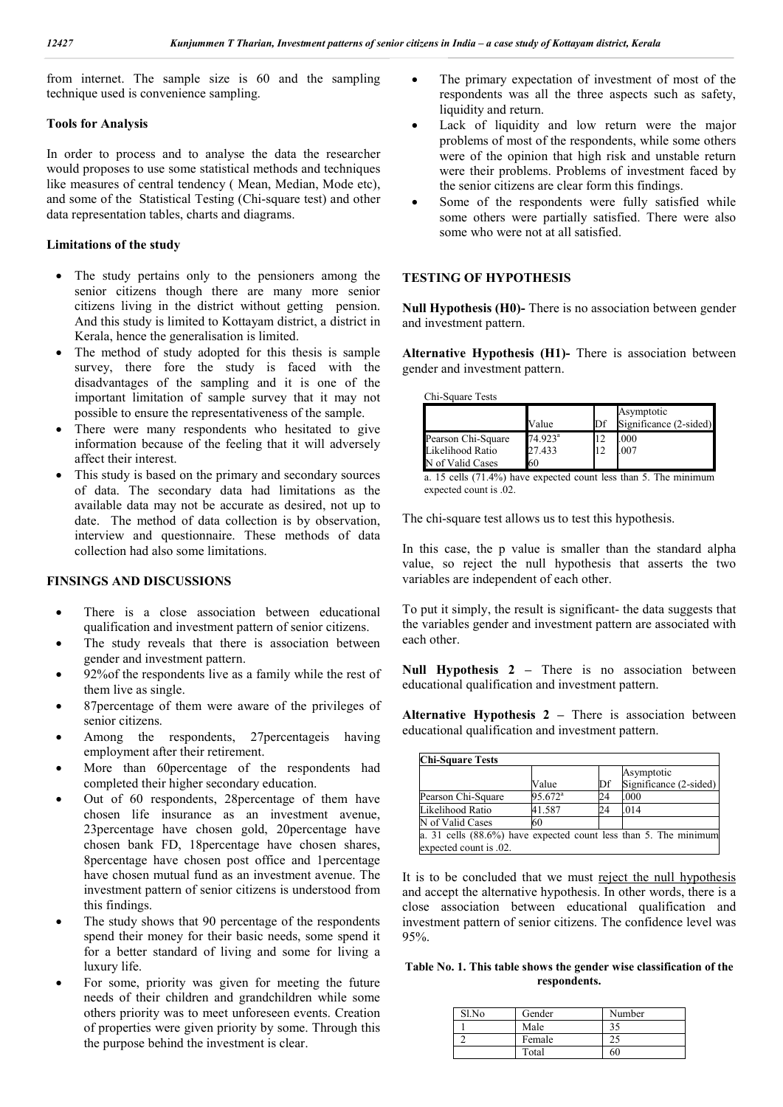from internet. The sample size is 60 and the sampling technique used is convenience sampling.

#### **Tools for Analysis**

In order to process and to analyse the data the researcher would proposes to use some statistical methods and techniques like measures of central tendency ( Mean, Median, Mode etc), and some of the Statistical Testing (Chi-square test) and other data representation tables, charts and diagrams.

#### **Limitations of the study**

- The study pertains only to the pensioners among the senior citizens though there are many more senior citizens living in the district without getting pension. And this study is limited to Kottayam district, a district in Kerala, hence the generalisation is limited.
- The method of study adopted for this thesis is sample survey, there fore the study is faced with the disadvantages of the sampling and it is one of the important limitation of sample survey that it may not possible to ensure the representativeness of the sample.
- There were many respondents who hesitated to give information because of the feeling that it will adversely affect their interest.
- This study is based on the primary and secondary sources of data. The secondary data had limitations as the available data may not be accurate as desired, not up to date. The method of data collection is by observation, interview and questionnaire. These methods of data collection had also some limitations.

#### **FINSINGS AND DISCUSSIONS**

- There is a close association between educational qualification and investment pattern of senior citizens.
- The study reveals that there is association between gender and investment pattern.
- 92%of the respondents live as a family while the rest of them live as single.
- 87percentage of them were aware of the privileges of senior citizens.
- Among the respondents, 27percentageis having employment after their retirement.
- More than 60percentage of the respondents had completed their higher secondary education.
- Out of 60 respondents, 28percentage of them have chosen life insurance as an investment avenue, 23percentage have chosen gold, 20percentage have chosen bank FD, 18percentage have chosen shares, 8percentage have chosen post office and 1percentage have chosen mutual fund as an investment avenue. The investment pattern of senior citizens is understood from this findings.
- The study shows that 90 percentage of the respondents spend their money for their basic needs, some spend it for a better standard of living and some for living a luxury life.
- For some, priority was given for meeting the future needs of their children and grandchildren while some others priority was to meet unforeseen events. Creation of properties were given priority by some. Through this the purpose behind the investment is clear.
- The primary expectation of investment of most of the respondents was all the three aspects such as safety, liquidity and return.
- Lack of liquidity and low return were the major problems of most of the respondents, while some others were of the opinion that high risk and unstable return were their problems. Problems of investment faced by the senior citizens are clear form this findings.
- Some of the respondents were fully satisfied while some others were partially satisfied. There were also some who were not at all satisfied.

#### **TESTING OF HYPOTHESIS**

**Null Hypothesis (H0)-** There is no association between gender and investment pattern.

**Alternative Hypothesis (H1)-** There is association between gender and investment pattern.

Chi-Square Tests

|                    | Value               | Df | Asymptotic<br>Significance (2-sided) |
|--------------------|---------------------|----|--------------------------------------|
| Pearson Chi-Square | 74.923 <sup>a</sup> | 12 | .000                                 |
| Likelihood Ratio   | 27.433              | 12 | .007                                 |
| N of Valid Cases   | 60                  |    |                                      |

a. 15 cells (71.4%) have expected count less than 5. The minimum expected count is .02.

The chi-square test allows us to test this hypothesis.

In this case, the p value is smaller than the standard alpha value, so reject the null hypothesis that asserts the two variables are independent of each other.

To put it simply, the result is significant- the data suggests that the variables gender and investment pattern are associated with each other.

**Null Hypothesis 2 –** There is no association between educational qualification and investment pattern.

**Alternative Hypothesis 2 –** There is association between educational qualification and investment pattern.

| <b>Chi-Square Tests</b> |                  |    |                                                                  |  |  |
|-------------------------|------------------|----|------------------------------------------------------------------|--|--|
|                         | Value            | Df | Asymptotic<br>Significance (2-sided)                             |  |  |
| Pearson Chi-Square      | $95.672^{\circ}$ | 24 | .000                                                             |  |  |
| Likelihood Ratio        | 41.587           | 24 | .014                                                             |  |  |
| N of Valid Cases        | 60               |    |                                                                  |  |  |
|                         |                  |    | a. 31 cells (88.6%) have expected count less than 5. The minimum |  |  |
| expected count is .02.  |                  |    |                                                                  |  |  |

It is to be concluded that we must reject the null hypothesis and accept the alternative hypothesis. In other words, there is a close association between educational qualification and investment pattern of senior citizens. The confidence level was 95%.

**Table No. 1. This table shows the gender wise classification of the respondents.**

| Sl.No | Gender | Number |
|-------|--------|--------|
|       | Male   | 35     |
|       | Female |        |
|       | Total  | 60     |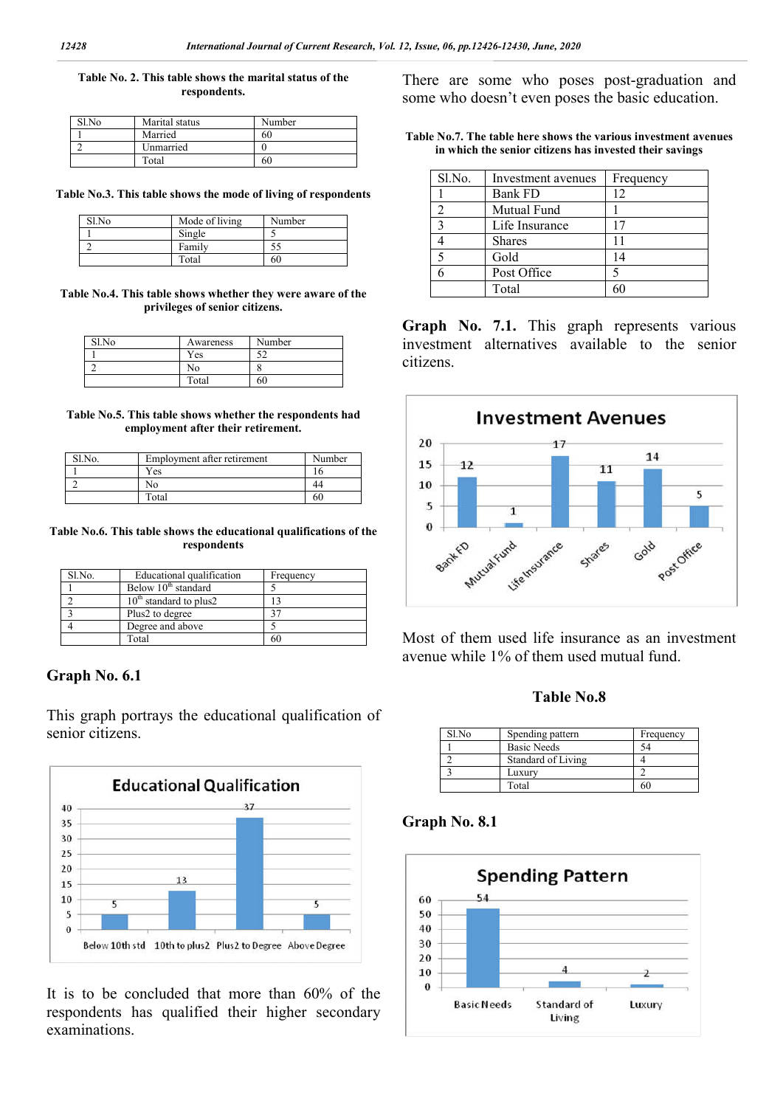#### **Table No. 2. This table shows the marital status of the respondents.**

| $S1$ . No. | Marital status | Number |
|------------|----------------|--------|
|            | Married        | 60     |
|            | Unmarried      |        |
|            | Total          | 60     |

**Table No.3. This table shows the mode of living of respondents**

| Sl.No | Mode of living | Number |
|-------|----------------|--------|
|       | Single         |        |
|       | Family         |        |
|       | Total          | 60     |

**Table No.4. This table shows whether they were aware of the privileges of senior citizens.**

| Sl.No | Awareness | Number |
|-------|-----------|--------|
|       | Yes       | یہ     |
|       | No        |        |
|       | Total     | 60     |

**Table No.5. This table shows whether the respondents had employment after their retirement.**

| $S1$ . No. | Employment after retirement | Number |
|------------|-----------------------------|--------|
|            | Yes                         |        |
|            | No                          |        |
|            | Total                       | 60     |

#### **Table No.6. This table shows the educational qualifications of the respondents**

| Sl.No. | Educational qualification       | Frequency |
|--------|---------------------------------|-----------|
|        | Below 10 <sup>th</sup> standard |           |
|        | $10th$ standard to plus2        |           |
|        | Plus2 to degree                 |           |
|        | Degree and above                |           |
|        | Total                           |           |

## **Graph No. 6.1**

This graph portrays the educational qualification of senior citizens.



It is to be concluded that more than 60% of the respondents has qualified their higher secondary examinations.

There are some who poses post-graduation and some who doesn't even poses the basic education.

|  |  |  | Table No.7. The table here shows the various investment avenues |  |
|--|--|--|-----------------------------------------------------------------|--|
|  |  |  | in which the senior citizens has invested their savings         |  |

| Sl.No.       | Investment avenues | Frequency |
|--------------|--------------------|-----------|
|              | <b>Bank FD</b>     | 12        |
|              | Mutual Fund        |           |
| $\mathbf{c}$ | Life Insurance     |           |
|              | <b>Shares</b>      |           |
|              | Gold               | 14        |
|              | Post Office        |           |
|              | Total              |           |

**Graph No. 7.1.** This graph represents various investment alternatives available to the senior citizens.



Most of them used life insurance as an investment avenue while 1% of them used mutual fund.

### **Table No.8**

| Sl.No | Spending pattern   | Frequency |
|-------|--------------------|-----------|
|       | <b>Basic Needs</b> | 54        |
|       | Standard of Living |           |
|       | Luxury             |           |
|       | Total              | 60        |

## **Graph No. 8.1**

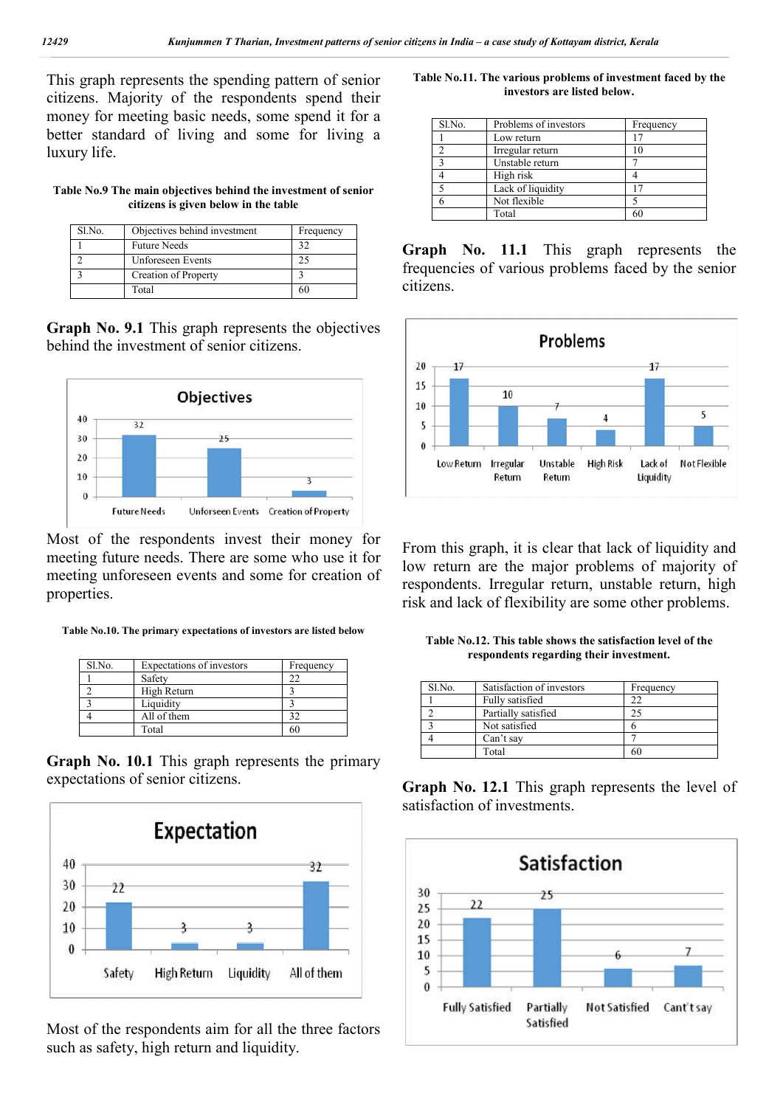This graph represents the spending pattern of senior citizens. Majority of the respondents spend their money for meeting basic needs, some spend it for a better standard of living and some for living a luxury life.

**Table No.9 The main objectives behind the investment of senior citizens is given below in the table**

| Sl.No. | Objectives behind investment | Frequency |
|--------|------------------------------|-----------|
|        | <b>Future Needs</b>          |           |
|        | <b>Unforeseen Events</b>     |           |
|        | Creation of Property         |           |
|        | Total                        |           |

**Graph No. 9.1** This graph represents the objectives behind the investment of senior citizens.



Most of the respondents invest their money for meeting future needs. There are some who use it for meeting unforeseen events and some for creation of properties.

**Table No.10. The primary expectations of investors are listed below**

| Sl.No. | Expectations of investors | Frequency |
|--------|---------------------------|-----------|
|        | Safety                    |           |
|        | High Return               |           |
|        | Liquidity                 |           |
|        | All of them               |           |
|        | Total                     |           |

**Graph No. 10.1** This graph represents the primary expectations of senior citizens.



Most of the respondents aim for all the three factors such as safety, high return and liquidity.

**Table No.11. The various problems of investment faced by the investors are listed below.**

| Sl.No. | Problems of investors | Frequency |
|--------|-----------------------|-----------|
|        | Low return            | 17        |
|        | Irregular return      | 10        |
|        | Unstable return       |           |
|        | High risk             |           |
|        | Lack of liquidity     |           |
|        | Not flexible          |           |
|        | Total                 | 60        |

**Graph No. 11.1** This graph represents the frequencies of various problems faced by the senior citizens.



From this graph, it is clear that lack of liquidity and low return are the major problems of majority of respondents. Irregular return, unstable return, high risk and lack of flexibility are some other problems.

**Table No.12. This table shows the satisfaction level of the respondents regarding their investment.**

| Sl.No. | Satisfaction of investors | Frequency |
|--------|---------------------------|-----------|
|        | Fully satisfied           |           |
|        | Partially satisfied       |           |
|        | Not satisfied             |           |
|        | Can't say                 |           |
|        | Total                     | 60        |

**Graph No. 12.1** This graph represents the level of satisfaction of investments.